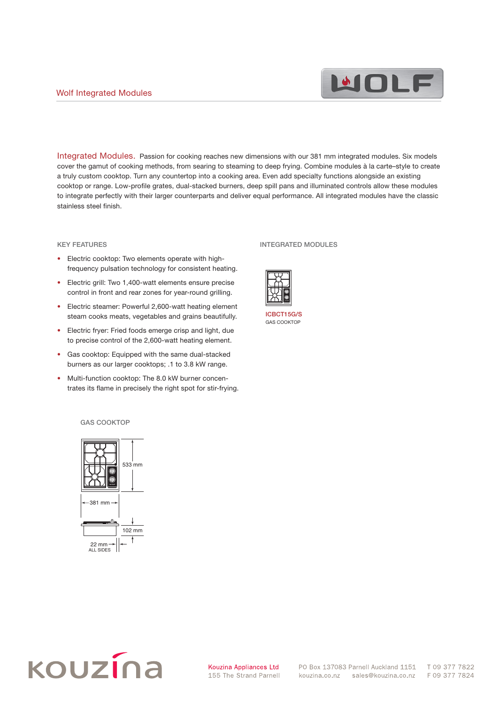

Integrated Modules. Passion for cooking reaches new dimensions with our 381 mm integrated modules. Six models cover the gamut of cooking methods, from searing to steaming to deep frying. Combine modules à la carte–style to create a truly custom cooktop. Turn any countertop into a cooking area. Even add specialty functions alongside an existing cooktop or range. Low-profile grates, dual-stacked burners, deep spill pans and illuminated controls allow these modules to integrate perfectly with their larger counterparts and deliver equal performance. All integrated modules have the classic stainless steel finish.  $\mathbf{A}$ 

#### KEY FEATURES ELECTRIC GRILL ELECTRIC GRILL ELECTRIC STEAMERS CONTROL ELECTRIC STEAMERS CONTROL ELECTRIC STEAMERS CONTROL ELECTRIC STEAMERS CONTROL ELECTRIC STEAMERS CONTROL ELECTRIC STEAMERS CONTROL ELECTRIC STEAMERS CONTROL ELECTRIC S

- Electric cooktop: Two elements operate with highfrequency pulsation technology for consistent heating.
- Electric grill: Two 1,400-watt elements ensure precise control in front and rear zones for year-round grilling. 53<br>533 meter – Jacob Paris, president av Santa Santa III
- Electric steamer: Powerful 2,600-watt heating element steam cooks meats, vegetables and grains beautifully.
	- Electric fryer: Fried foods emerge crisp and light, due to precise control of the 2,600-watt heating element.
	- Gas cooktop: Equipped with the same dual-stacked burners as our larger cooktops; .1 to 3.8 kW range.  $\mathbf{q}$
	- Multi-function cooktop: The 8.0 kW burner concentrates its flame in precisely the right spot for stir-frying. rne

#### INTEGRATED MODULES



ICBCT15G/S GAS COOKTOP

#### GAS COOKTOP





T 09 377 7822 F 09 377 7824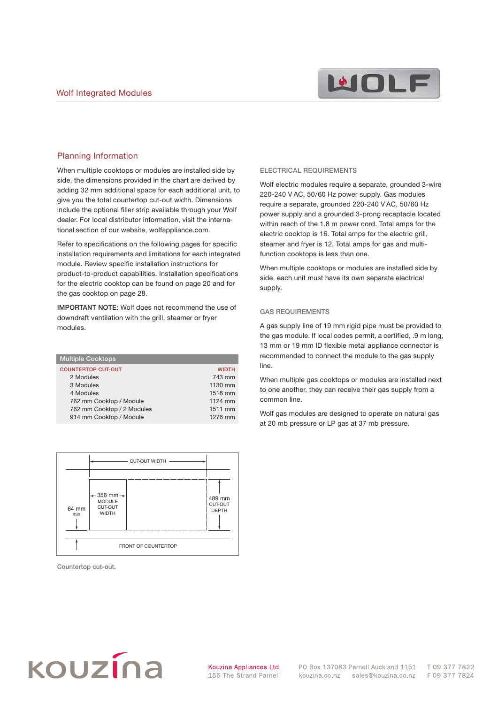

## Planning Information

When multiple cooktops or modules are installed side by side, the dimensions provided in the chart are derived by adding 32 mm additional space for each additional unit, to give you the total countertop cut-out width. Dimensions include the optional filler strip available through your Wolf dealer. For local distributor information, visit the international section of our website, wolfappliance.com.

Refer to specifications on the following pages for specific installation requirements and limitations for each integrated module. Review specific installation instructions for product-to-product capabilities. Installation specifications for the electric cooktop can be found on page 20 and for the gas cooktop on page 28.

IMPORTANT NOTE: Wolf does not recommend the use of downdraft ventilation with the grill, steamer or fryer modules.

| <b>WIDTH</b> |
|--------------|
| 743 mm       |
| 1130 mm      |
| 1518 mm      |
| 1124 mm      |
| 1511 mm      |
| 1276 mm      |
|              |



Countertop cut-out.

#### ELECTRICAL REQUIREMENTS

Wolf electric modules require a separate, grounded 3-wire 220-240 V AC, 50/60 Hz power supply. Gas modules require a separate, grounded 220-240 V AC, 50/60 Hz power supply and a grounded 3-prong receptacle located within reach of the 1.8 m power cord. Total amps for the electric cooktop is 16. Total amps for the electric grill, steamer and fryer is 12. Total amps for gas and multifunction cooktops is less than one.

When multiple cooktops or modules are installed side by side, each unit must have its own separate electrical supply.

### GAS REQUIREMENTS

A gas supply line of 19 mm rigid pipe must be provided to the gas module. If local codes permit, a certified, .9 m long, 13 mm or 19 mm ID flexible metal appliance connector is recommended to connect the module to the gas supply line.

When multiple gas cooktops or modules are installed next to one another, they can receive their gas supply from a common line.

Wolf gas modules are designed to operate on natural gas at 20 mb pressure or LP gas at 37 mb pressure.

# kouzína